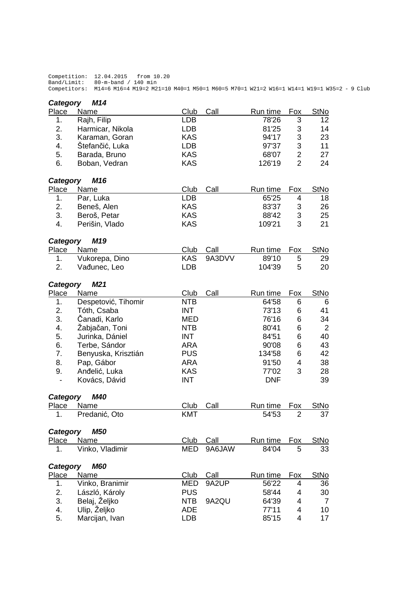Competition: 12.04.2015 from 10.20 Band/Limit: 80-m-band / 140 min Competitors: M14=6 M16=4 M19=2 M21=10 M40=1 M50=1 M60=5 M70=1 W21=2 W16=1 W14=1 W19=1 W35=2 - 9 Club

| Category                 | M14                 |            |        |            |                |                 |
|--------------------------|---------------------|------------|--------|------------|----------------|-----------------|
| Place                    | Name                | Club       | Call   | Run time   | Fox            | StNo            |
| 1.                       | Rajh, Filip         | <b>LDB</b> |        | 78'26      | 3              | 12 <sub>2</sub> |
| 2.                       | Harmicar, Nikola    | <b>LDB</b> |        | 81'25      | 3              | 14              |
| 3.                       | Karaman, Goran      | <b>KAS</b> |        | 94'17      | 3              | 23              |
| 4.                       | Štefančić, Luka     | <b>LDB</b> |        | 97'37      | 3              | 11              |
| 5.                       | Barada, Bruno       | <b>KAS</b> |        | 68'07      | $\overline{2}$ | 27              |
| 6.                       | Boban, Vedran       | <b>KAS</b> |        | 126'19     | $\overline{2}$ | 24              |
| Category                 | M16                 |            |        |            |                |                 |
| Place                    | Name                | Club       | Call   | Run time   | Fox            | <b>StNo</b>     |
| 1.                       | Par, Luka           | <b>LDB</b> |        | 65'25      | 4              | 18              |
| 2.                       | Beneš, Alen         | <b>KAS</b> |        | 83'37      | 3              | 26              |
| 3.                       | Beroš, Petar        | <b>KAS</b> |        | 88'42      | $\sqrt{3}$     | 25              |
| 4.                       | Perišin, Vlado      | <b>KAS</b> |        | 109'21     | 3              | 21              |
| Category                 | M19                 |            |        |            |                |                 |
| Place                    | Name                | Club       | Call   | Run time   | <b>Fox</b>     | StNo            |
| 1.                       | Vukorepa, Dino      | <b>KAS</b> | 9A3DVV | 89'10      | 5              | 29              |
| 2.                       | Vađunec, Leo        | <b>LDB</b> |        | 104'39     | 5              | 20              |
| Category                 | M <sub>21</sub>     |            |        |            |                |                 |
| <b>Place</b>             | Name                | Club       | Call   | Run time   | Fox            | <b>StNo</b>     |
| 1.                       | Despetović, Tihomir | <b>NTB</b> |        | 64'58      | 6              | 6               |
| 2.                       | Tóth, Csaba         | <b>INT</b> |        | 73'13      | 6              | 41              |
| 3.                       | Čanadi, Karlo       | <b>MED</b> |        | 76'16      | 6              | 34              |
| 4.                       | Žabjačan, Toni      | <b>NTB</b> |        | 80'41      | 6              | $\overline{2}$  |
| 5.                       | Jurinka, Dániel     | <b>INT</b> |        | 84'51      | 6              | 40              |
| 6.                       | Terbe, Sándor       | <b>ARA</b> |        | 90'08      | 6              | 43              |
| 7.                       | Benyuska, Krisztián | <b>PUS</b> |        | 134'58     | 6              | 42              |
| 8.                       | Pap, Gábor          | <b>ARA</b> |        | 91'50      | 4              | 38              |
| 9.                       | Anđelić, Luka       | <b>KAS</b> |        | 77'02      | 3              | 28              |
| $\overline{\phantom{a}}$ | Kovács, Dávid       | <b>INT</b> |        | <b>DNF</b> |                | 39              |
|                          |                     |            |        |            |                |                 |
| Category                 | <b>M40</b>          |            |        |            |                |                 |
| <b>Place</b>             | <b>Name</b>         | Club       | Call   | Run time   | <b>Fox</b>     | <b>StNo</b>     |
| 1.                       | Predanić, Oto       | <b>KMT</b> |        | 54'53      | 2              | 37              |
| Category                 | <b>M50</b>          |            |        |            |                |                 |
| Place                    | Name                | Club       | Call   | Run time   | Fox            | <b>StNo</b>     |
| 1.                       | Vinko, Vladimir     | <b>MED</b> | 9A6JAW | 84'04      | 5              | 33              |
| Category                 | <b>M60</b>          |            |        |            |                |                 |
| Place                    | Name                | Club       | Call   | Run time   | Fox            | <b>StNo</b>     |
| 1.                       | Vinko, Branimir     | <b>MED</b> | 9A2UP  | 56'22      | 4              | 36              |
| 2.                       | László, Károly      | <b>PUS</b> |        | 58'44      | 4              | 30              |
| 3.                       | Belaj, Željko       | <b>NTB</b> | 9A2QU  | 64'39      | 4              | $\overline{7}$  |
| 4.                       | Ulip, Željko        | <b>ADE</b> |        | 77'11      | 4              | 10              |
| 5.                       | Marcijan, Ivan      | <b>LDB</b> |        | 85'15      | 4              | 17              |